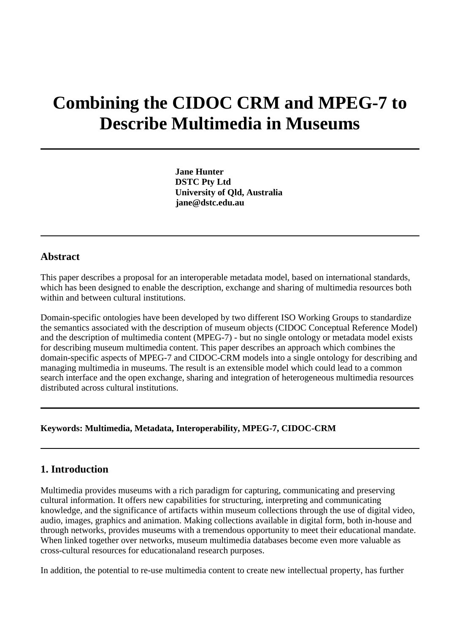# **Combining the CIDOC CRM and MPEG-7 to Describe Multimedia in Museums**

**Jane Hunter DSTC Pty Ltd University of Qld, Australia jane@dstc.edu.au**

### **Abstract**

This paper describes a proposal for an interoperable metadata model, based on international standards, which has been designed to enable the description, exchange and sharing of multimedia resources both within and between cultural institutions.

Domain-specific ontologies have been developed by two different ISO Working Groups to standardize the semantics associated with the description of museum objects (CIDOC Conceptual Reference Model) and the description of multimedia content (MPEG-7) - but no single ontology or metadata model exists for describing museum multimedia content. This paper describes an approach which combines the domain-specific aspects of MPEG-7 and CIDOC-CRM models into a single ontology for describing and managing multimedia in museums. The result is an extensible model which could lead to a common search interface and the open exchange, sharing and integration of heterogeneous multimedia resources distributed across cultural institutions.

### **Keywords: Multimedia, Metadata, Interoperability, MPEG-7, CIDOC-CRM**

# **1. Introduction**

Multimedia provides museums with a rich paradigm for capturing, communicating and preserving cultural information. It offers new capabilities for structuring, interpreting and communicating knowledge, and the significance of artifacts within museum collections through the use of digital video, audio, images, graphics and animation. Making collections available in digital form, both in-house and through networks, provides museums with a tremendous opportunity to meet their educational mandate. When linked together over networks, museum multimedia databases become even more valuable as cross-cultural resources for educationaland research purposes.

In addition, the potential to re-use multimedia content to create new intellectual property, has further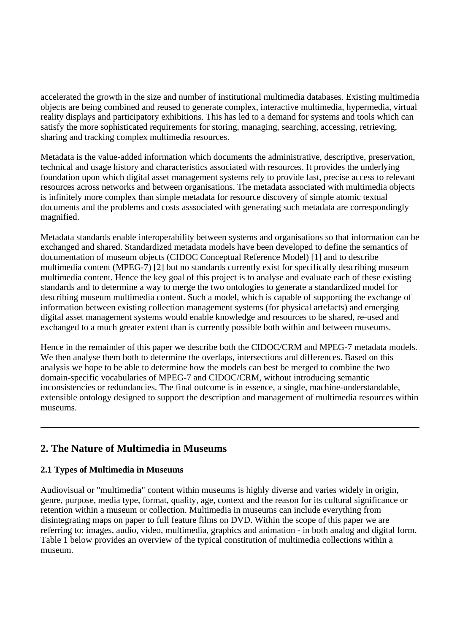accelerated the growth in the size and number of institutional multimedia databases. Existing multimedia objects are being combined and reused to generate complex, interactive multimedia, hypermedia, virtual reality displays and participatory exhibitions. This has led to a demand for systems and tools which can satisfy the more sophisticated requirements for storing, managing, searching, accessing, retrieving, sharing and tracking complex multimedia resources.

Metadata is the value-added information which documents the administrative, descriptive, preservation, technical and usage history and characteristics associated with resources. It provides the underlying foundation upon which digital asset management systems rely to provide fast, precise access to relevant resources across networks and between organisations. The metadata associated with multimedia objects is infinitely more complex than simple metadata for resource discovery of simple atomic textual documents and the problems and costs asssociated with generating such metadata are correspondingly magnified.

Metadata standards enable interoperability between systems and organisations so that information can be exchanged and shared. Standardized metadata models have been developed to define the semantics of documentation of museum objects (CIDOC Conceptual Reference Model) [1] and to describe multimedia content (MPEG-7) [2] but no standards currently exist for specifically describing museum multimedia content. Hence the key goal of this project is to analyse and evaluate each of these existing standards and to determine a way to merge the two ontologies to generate a standardized model for describing museum multimedia content. Such a model, which is capable of supporting the exchange of information between existing collection management systems (for physical artefacts) and emerging digital asset management systems would enable knowledge and resources to be shared, re-used and exchanged to a much greater extent than is currently possible both within and between museums.

Hence in the remainder of this paper we describe both the CIDOC/CRM and MPEG-7 metadata models. We then analyse them both to determine the overlaps, intersections and differences. Based on this analysis we hope to be able to determine how the models can best be merged to combine the two domain-specific vocabularies of MPEG-7 and CIDOC/CRM, without introducing semantic inconsistencies or redundancies. The final outcome is in essence, a single, machine-understandable, extensible ontology designed to support the description and management of multimedia resources within museums.

# **2. The Nature of Multimedia in Museums**

# **2.1 Types of Multimedia in Museums**

Audiovisual or "multimedia" content within museums is highly diverse and varies widely in origin, genre, purpose, media type, format, quality, age, context and the reason for its cultural significance or retention within a museum or collection. Multimedia in museums can include everything from disintegrating maps on paper to full feature films on DVD. Within the scope of this paper we are referring to: images, audio, video, multimedia, graphics and animation - in both analog and digital form. Table 1 below provides an overview of the typical constitution of multimedia collections within a museum.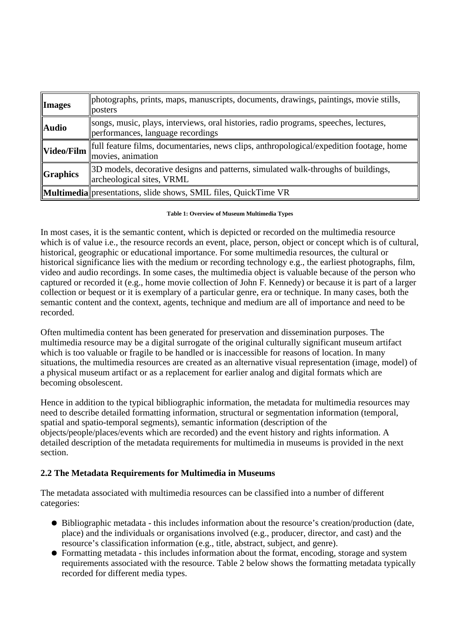| <b>Images</b>       | photographs, prints, maps, manuscripts, documents, drawings, paintings, movie stills,<br>posters                          |
|---------------------|---------------------------------------------------------------------------------------------------------------------------|
| <b>Audio</b>        | songs, music, plays, interviews, oral histories, radio programs, speeches, lectures,<br>performances, language recordings |
| Video/Film          | full feature films, documentaries, news clips, anthropological/expedition footage, home<br>movies, animation              |
| $\sqrt{G}$ Graphics | 3D models, decorative designs and patterns, simulated walk-throughs of buildings,<br>archeological sites, VRML            |
|                     | Multimedia presentations, slide shows, SMIL files, QuickTime VR                                                           |

**Table 1: Overview of Museum Multimedia Types**

In most cases, it is the semantic content, which is depicted or recorded on the multimedia resource which is of value i.e., the resource records an event, place, person, object or concept which is of cultural, historical, geographic or educational importance. For some multimedia resources, the cultural or historical significance lies with the medium or recording technology e.g., the earliest photographs, film, video and audio recordings. In some cases, the multimedia object is valuable because of the person who captured or recorded it (e.g., home movie collection of John F. Kennedy) or because it is part of a larger collection or bequest or it is exemplary of a particular genre, era or technique. In many cases, both the semantic content and the context, agents, technique and medium are all of importance and need to be recorded.

Often multimedia content has been generated for preservation and dissemination purposes. The multimedia resource may be a digital surrogate of the original culturally significant museum artifact which is too valuable or fragile to be handled or is inaccessible for reasons of location. In many situations, the multimedia resources are created as an alternative visual representation (image, model) of a physical museum artifact or as a replacement for earlier analog and digital formats which are becoming obsolescent.

Hence in addition to the typical bibliographic information, the metadata for multimedia resources may need to describe detailed formatting information, structural or segmentation information (temporal, spatial and spatio-temporal segments), semantic information (description of the objects/people/places/events which are recorded) and the event history and rights information. A detailed description of the metadata requirements for multimedia in museums is provided in the next section.

# **2.2 The Metadata Requirements for Multimedia in Museums**

The metadata associated with multimedia resources can be classified into a number of different categories:

- Bibliographic metadata this includes information about the resource's creation/production (date, place) and the individuals or organisations involved (e.g., producer, director, and cast) and the resource's classification information (e.g., title, abstract, subject, and genre).
- Formatting metadata this includes information about the format, encoding, storage and system requirements associated with the resource. Table 2 below shows the formatting metadata typically recorded for different media types.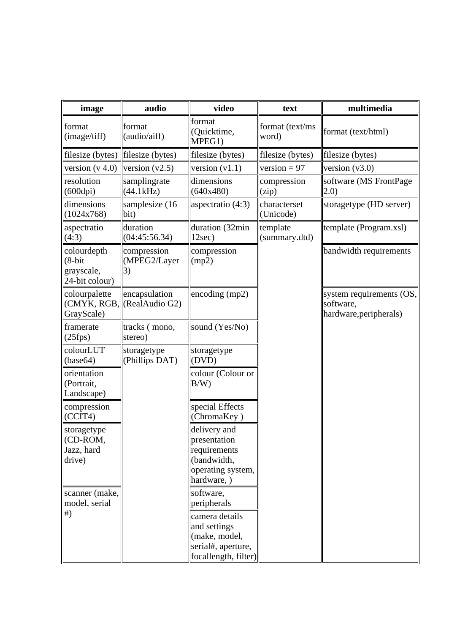| image                                                    | audio                             | video                                                                                                                     | text                               | multimedia                                                      |
|----------------------------------------------------------|-----------------------------------|---------------------------------------------------------------------------------------------------------------------------|------------------------------------|-----------------------------------------------------------------|
| format<br>(image/tiff)                                   | format<br>(audio/aiff)            | format<br>(Quicktime,<br>MPEG1)                                                                                           | format (text/ms<br>word)           | format (text/html)                                              |
| filesize (bytes)                                         | filesize (bytes)                  | filesize (bytes)                                                                                                          | filesize (bytes)                   | filesize (bytes)                                                |
| version $(v 4.0)$                                        | version $(v2.5)$                  | version $(v1.1)$                                                                                                          | version = $97$                     | version $(v3.0)$                                                |
| resolution<br>(600dpi)                                   | samplingrate<br>(44.1kHz)         | dimensions<br>(640x480)                                                                                                   | compression<br>(zip)               | software (MS FrontPage<br>(2.0)                                 |
| dimensions<br>(1024x768)                                 | samplesize (16<br>bit)            | aspectratio (4:3)                                                                                                         | characterset<br> (Unicode)         | storagetype (HD server)                                         |
| aspectratio<br>(4:3)                                     | duration<br>(04:45:56.34)         | duration (32min<br>12sec)                                                                                                 | template<br>$\left $ (summary.dtd) | template (Program.xsl)                                          |
| colourdepth<br>$(8-bit)$<br>grayscale,<br>24-bit colour) | compression<br>(MPEG2/Layer<br>3) | compression<br>(mp2)                                                                                                      |                                    | bandwidth requirements                                          |
| colourpalette<br>(CMYK, RGB,<br>GrayScale)               | encapsulation<br>(RealAudio G2)   | encoding $(mp2)$                                                                                                          |                                    | system requirements (OS,<br>software,<br>hardware, peripherals) |
| framerate<br>(25fps)                                     | tracks (mono,<br>stereo)          | sound (Yes/No)                                                                                                            |                                    |                                                                 |
| colourLUT<br>(base64)                                    | storagetype<br>(Phillips DAT)     | storagetype<br>(DVD)                                                                                                      |                                    |                                                                 |
| orientation<br>(Portrait,<br>Landscape)                  |                                   | colour (Colour or<br>B/W                                                                                                  |                                    |                                                                 |
| compression<br>(CCTT4)                                   |                                   | special Effects<br>(ChromaKey)                                                                                            |                                    |                                                                 |
| storagetype<br> (CD-ROM,<br>Jazz, hard<br>drive)         |                                   | delivery and<br>presentation<br>requirements<br>(bandwidth,<br>operating system,<br>hardware, )                           |                                    |                                                                 |
| scanner (make,<br>model, serial<br>#)                    |                                   | software,<br>peripherals<br>camera details<br>and settings<br>(make, model,<br>serial#, aperture,<br>focallength, filter) |                                    |                                                                 |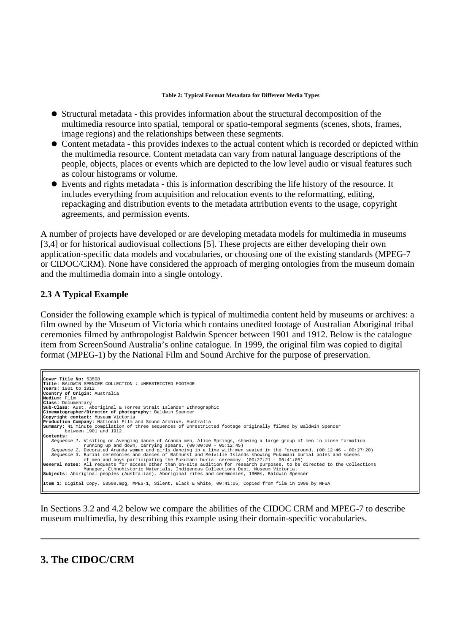#### **Table 2: Typical Format Metadata for Different Media Types**

- Structural metadata this provides information about the structural decomposition of the multimedia resource into spatial, temporal or spatio-temporal segments (scenes, shots, frames, image regions) and the relationships between these segments.
- Content metadata this provides indexes to the actual content which is recorded or depicted within the multimedia resource. Content metadata can vary from natural language descriptions of the people, objects, places or events which are depicted to the low level audio or visual features such as colour histograms or volume.
- Events and rights metadata this is information describing the life history of the resource. It includes everything from acquisition and relocation events to the reformatting, editing, repackaging and distribution events to the metadata attribution events to the usage, copyright agreements, and permission events.

A number of projects have developed or are developing metadata models for multimedia in museums [3,4] or for historical audiovisual collections [5]. These projects are either developing their own application-specific data models and vocabularies, or choosing one of the existing standards (MPEG-7 or CIDOC/CRM). None have considered the approach of merging ontologies from the museum domain and the multimedia domain into a single ontology.

### **2.3 A Typical Example**

Consider the following example which is typical of multimedia content held by museums or archives: a film owned by the Museum of Victoria which contains unedited footage of Australian Aboriginal tribal ceremonies filmed by anthropologist Baldwin Spencer between 1901 and 1912. Below is the catalogue item from ScreenSound Australia's online catalogue. In 1999, the original film was copied to digital format (MPEG-1) by the National Film and Sound Archive for the purpose of preservation.

```
Cover Title No: 53508
Title: BALDWIN SPENCER COLLECTION : UNRESTRICTED FOOTAGE
Years: 1901 to 1912
Country of Origin: Australia
Medium: Film
Class: Documentary 
Sub-Class: Aust. Aboriginal & Torres Strait Islander Ethnographic
Cinematographer/Director of photography: Baldwin Spencer
Copyright contact: Museum Victoria
Production Company: National Film and Sound Archive, Australia
Summary: 41 minute compilation of three sequences of unrestricted footage originally filmed by Baldwin Spencer
 between 1901 and 1912.
Contents:
     Sequence 1. Visiting or Avenging dance of Aranda men, Alice Springs, showing a large group of men in close formation
 running up and down, carrying spears. (00:00:00 - 00:12:45)
 Sequence 2. Decorated Aranda women and girls dancing in a line with men seated in the foreground. (00:12:46 - 00:27:20)
Sequence 3. Burial ceremonies and dances of Bathurst and Melville Islands showing Pukumani burial poles and scenes<br>General notes: of men and boys participating the Pukumani burial ceremony. (00:27:21 - 00:41:05)<br>General no
Item 1: Digital Copy, 53508.mpg, MPEG-1, Silent, Black & White, 00:41:05, Copied from film in 1999 by NFSA
```
In Sections 3.2 and 4.2 below we compare the abilities of the CIDOC CRM and MPEG-7 to describe museum multimedia, by describing this example using their domain-specific vocabularies.

# **3. The CIDOC/CRM**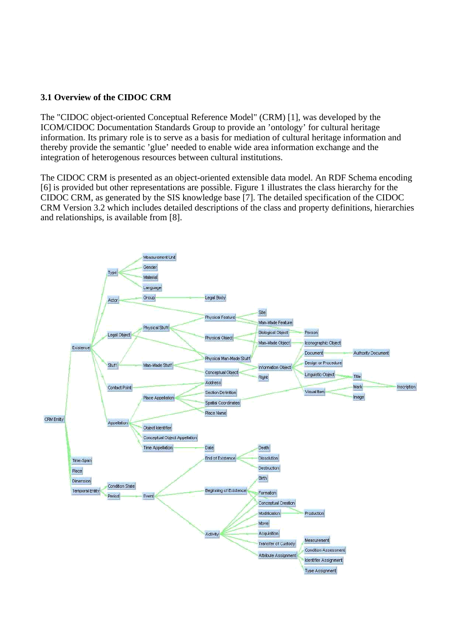# **3.1 Overview of the CIDOC CRM**

The "CIDOC object-oriented Conceptual Reference Model" (CRM) [1], was developed by the ICOM/CIDOC Documentation Standards Group to provide an 'ontology' for cultural heritage information. Its primary role is to serve as a basis for mediation of cultural heritage information and thereby provide the semantic 'glue' needed to enable wide area information exchange and the integration of heterogenous resources between cultural institutions.

The CIDOC CRM is presented as an object-oriented extensible data model. An RDF Schema encoding [6] is provided but other representations are possible. Figure 1 illustrates the class hierarchy for the CIDOC CRM, as generated by the SIS knowledge base [7]. The detailed specification of the CIDOC CRM Version 3.2 which includes detailed descriptions of the class and property definitions, hierarchies and relationships, is available from [8].

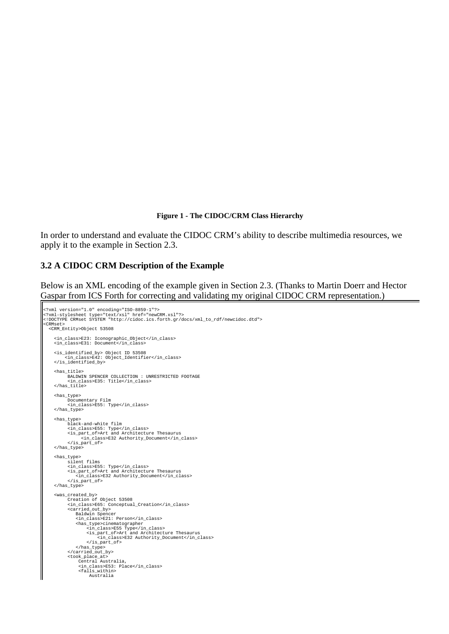#### **Figure 1 - The CIDOC/CRM Class Hierarchy**

In order to understand and evaluate the CIDOC CRM's ability to describe multimedia resources, we apply it to the example in Section 2.3.

#### **3.2 A CIDOC CRM Description of the Example**

Below is an XML encoding of the example given in Section 2.3. (Thanks to Martin Doerr and Hector Gaspar from ICS Forth for correcting and validating my original CIDOC CRM representation.)

```
<?xml version="1.0" encoding="ISO-8859-1"?><br><?xml-stylesheet type="text/xsl" href="newCRM.xsl"?><br><!DOCTYPE CRMset SYSTEM "http://cidoc.ics.forth.gr/docs/xml_to_rdf/newcidoc.dtd">
<CRMset>
   <CRM_Entity>Object 53508
       <in_class>E23: Iconographic_Object</in_class>
       <in_class>E31: Document</in_class>
 <is_identified_by> Object ID 53508
 <in_class>E42: Object_Identifier</in_class>
 </is_identified_by>
 <has_title>
 BALDWIN SPENCER COLLECTION : UNRESTRICTED FOOTAGE
                <in_class>E35: Title</in_class>
      </has_title>
 <has_type>
 Documentary Film
                <in_class>E55: Type</in_class>
       </has_type>
      <has_type>
                black-and-white film
 <in_class>E55: Type</in_class>
 <is_part_of>Art and Architecture Thesaurus
                         <in_class>E32 Authority_Document</in_class>
 </is_part_of>
 </has_type>
       <has_type>
                silent films
<in_class>E55: Type</in_class><br>
<is_part_of>Art and Architecture Thesaurus<br>
<in_class>E32 Authority_Document</in_class><br>
</is_part_of>
      </has_type>
%<was_created_by><br>
Creation of Object 53508<br>
cin_class>E65: Conceptual_Creation</in_class><br>
<carried_out_by><br>
<carried_out_by><br>
Baldwin Spencer
<in_class>E21: Person</in_class><br>
<has_type>cinematographer<br>
<in_class>E55 Type</in_class><br>
<is_part_of>Art and Architecture Thesaurus<br>
<is_part_of>Art and Architecture Thesaurus<br>
</is_part_of><br>
</is_part_of><br>
<//as_type><br>
 <took_place_at>
 Central Australia, 
 <in_class>E53: Place</in_class>
 <falls_within>
                              Australia
```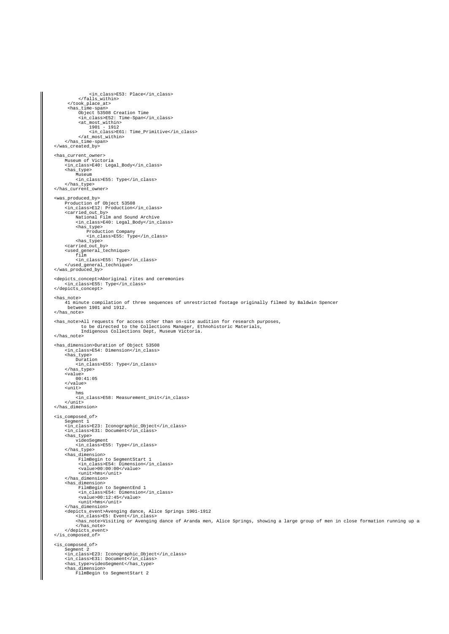```
 <in_class>E53: Place</in_class>
 </falls_within>
 </took_place_at>
 <has_time-span>
Object 53508 Creation Time<br>
<in_class><br>
\alphain_class><br>
\alphat_most_within><br>
1901 - 1912<br>
in_class>E61: Time_Primitive</in_class>
 </at_most_within>
 </has_time-span>
      </was_created_by> 
      <has_current_owner> 
 Museum of Victoria
 <in_class>E40: Legal_Body</in_class>
 <has_type>
 Museum
 <in_class>E55: Type</in_class>
            </has_type>
      </has_current_owner>
 <was_produced_by>
 Production of Object 53508
 <in_class>E12: Production</in_class>
 <carried_out_by>
 National Film and Sound Archive
 <in_class>E40: Legal_Body</in_class>
 <has_type>
 Production Company
 <in_class>E55: Type</in_class>
 <has_type>
 <carried_out_by>
 <used_general_technique>
 film
 <in_class>E55: Type</in_class>
 </used_general_technique>
 </was_produced_by>
 <depicts_concept>Aboriginal rites and ceremonies
 <in_class>E55: Type</in_class>
      </depicts_concept>
      <has_note>
            41 minute compilation of three sequences of unrestricted footage originally filmed by Baldwin Spencer
             between 1901 and 1912.
      </has_note>
 <has_note>All requests for access other than on-site audition for research purposes, 
 to be directed to the Collections Manager, Ethnohistoric Materials, 
 Indigenous Collections Dept, Museum Victoria.
      </has_note>
<has_dimension>Duration of Object 53508<br>
<in_class>E54: Dimension</in_class><br>
<has_type><br>
Nuration
                  <in_class>E55: Type</in_class>
 </has_type>
 <value>
 00:41:05
            </value>
           \frac{1}{2}hms<br>
<in_class>E58: Measurement_Unit</in_class><br>
</unit>
      </has_dimension>
      <is_composed_of>
Segment 1<br><in_class>E23: Iconographic_Object</in_class><br><in_class>E31: Document</in_class>
            <has type>
                 videoSegment
 <in_class>E55: Type</in_class>
 </has_type>
            <has_dimension>
                   FilmBegin to SegmentStart 1
<in_class>E54: Dimension</in_class><br><value>00:00:00</value><br><ulut>hms</unit>
            </has_dimension>
           has dimension>
FilmBegin to SegmentEnd 1<br><in_class>E54: Dimension</in_class><br><value>00:12:45</value>
</has_duit>hms</unit><br></has_dimension><br></has_dimension><br><depicts_event>Avenging dance, Alice Springs 1901–1912<br><im_class>E5: Event</im_class><br><im_class>E5: Event</imaging dance of Aranda men, Alice Springs, showing a large
 </has_note>
 </depicts_event>
      </is_composed_of>
      <is_composed_of>
 Segment 2
 <in_class>E23: Iconographic_Object</in_class>
 <in_class>E31: Document</in_class>
 <has_type>videoSegment</has_type>
 <has_dimension>
 FilmBegin to SegmentStart 2
```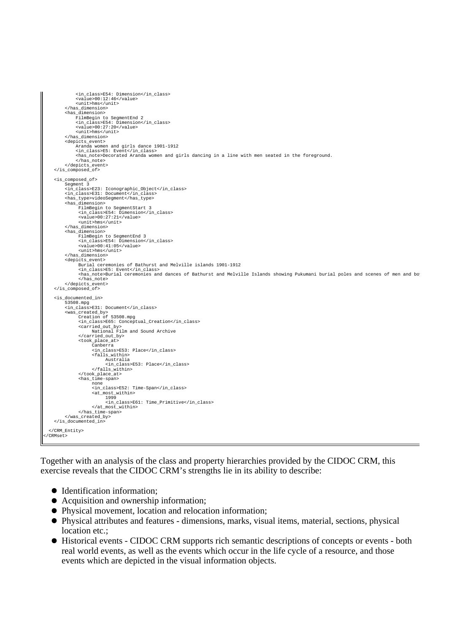```
 <in_class>E54: Dimension</in_class>
 <value>00:12:46</value>
 <unit>hms</unit>
 </has_dimension>
          <has_dimension>
FilmBegin to SegmentEnd 2<br><in_class>E54: Dimension</in_class><br>xvalue>00:27:20</value>
               <unit>hms</unit>
 </has_dimension>
 <depicts_event>
 Aranda women and girls dance 1901-1912 
 <in_class>E5: Event</in_class>
              encorate the correct of the state of the state of the seated in the foreground.
                </has_note>
          </depicts_event>
     </is_composed_of>
     <is_composed_of>
          Segment 3
          <in_class>E23: Iconographic_Object</in_class>
 <in_class>E31: Document</in_class>
 <has_type>videoSegment</has_type>
          <has_dimension>
 FilmBegin to SegmentStart 3
 <in_class>E54: Dimension</in_class>
 <value>00:27:21</value>
 <unit>hms</unit>
          </has_dimension>
%has_dimension><br>FilmBegin to SegmentEnd 3<br>
<in_class>E54: Dimension</in_class><br>
<value>00:41:05</value>
                <unit>hms</unit>
 </has_dimension>
 <depicts_event>
 Burial ceremonies of Bathurst and Melville islands 1901-1912 
 <in_class>E5: Event</in_class>
                 <has_note>Burial ceremonies and dances of Bathurst and Melville Islands showing Pukumani burial poles and scenes of men and boys participating in the Pukumani burial ceremony.
                 </has_note>
          </depicts_event>
     </is_composed_of>
     <is_documented_in>
 53508.mpg
 <in_class>E31: Document</in_class>
 <was_created_by>
 Creation of 53508.mpg
                <in_class>E65: Conceptual_Creation</in_class>
 <carried_out_by>
 National Film and Sound Archive
 </carried_out_by>
                <took_place_at>
                     Canberra<br>sin class
 <in_class>E53: Place</in_class>
 <falls_within>
                          Australia
                             <in_class>E53: Place</in_class>
 </falls_within>
 </took_place_at>
 <has_time-span>
 none
 <in_class>E52: Time-Span</in_class>
 <at_most_within>
 1999
                             <in_class>E61: Time_Primitive</in_class>
</at_most_within></has_time-span>
           </was_created_by>
     </is_documented_in>
   </CRM_Entity>
</CRMset>
```
Together with an analysis of the class and property hierarchies provided by the CIDOC CRM, this exercise reveals that the CIDOC CRM's strengths lie in its ability to describe:

- $\bullet$  Identification information;
- Acquisition and ownership information;
- Physical movement, location and relocation information;
- Physical attributes and features dimensions, marks, visual items, material, sections, physical location etc.:
- Historical events CIDOC CRM supports rich semantic descriptions of concepts or events both real world events, as well as the events which occur in the life cycle of a resource, and those events which are depicted in the visual information objects.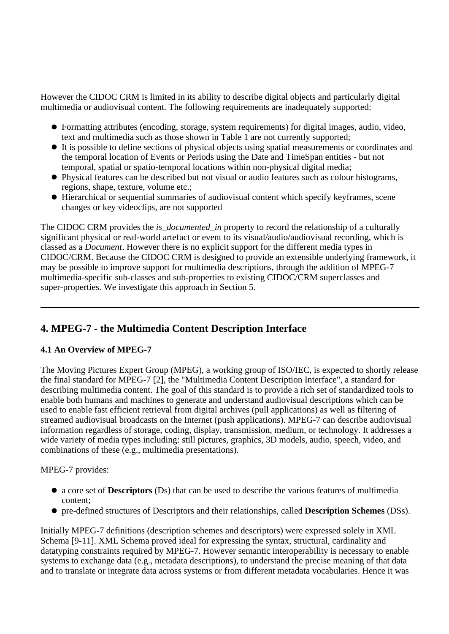However the CIDOC CRM is limited in its ability to describe digital objects and particularly digital multimedia or audiovisual content. The following requirements are inadequately supported:

- Formatting attributes (encoding, storage, system requirements) for digital images, audio, video, text and multimedia such as those shown in Table 1 are not currently supported;
- It is possible to define sections of physical objects using spatial measurements or coordinates and the temporal location of Events or Periods using the Date and TimeSpan entities - but not temporal, spatial or spatio-temporal locations within non-physical digital media;
- Physical features can be described but not visual or audio features such as colour histograms, regions, shape, texture, volume etc.;
- Hierarchical or sequential summaries of audiovisual content which specify keyframes, scene changes or key videoclips, are not supported

The CIDOC CRM provides the *is\_documented\_in* property to record the relationship of a culturally significant physical or real-world artefact or event to its visual/audio/audiovisual recording, which is classed as a *Document*. However there is no explicit support for the different media types in CIDOC/CRM. Because the CIDOC CRM is designed to provide an extensible underlying framework, it may be possible to improve support for multimedia descriptions, through the addition of MPEG-7 multimedia-specific sub-classes and sub-properties to existing CIDOC/CRM superclasses and super-properties. We investigate this approach in Section 5.

# **4. MPEG-7 - the Multimedia Content Description Interface**

# **4.1 An Overview of MPEG-7**

The Moving Pictures Expert Group (MPEG), a working group of ISO/IEC, is expected to shortly release the final standard for MPEG-7 [2], the "Multimedia Content Description Interface", a standard for describing multimedia content. The goal of this standard is to provide a rich set of standardized tools to enable both humans and machines to generate and understand audiovisual descriptions which can be used to enable fast efficient retrieval from digital archives (pull applications) as well as filtering of streamed audiovisual broadcasts on the Internet (push applications). MPEG-7 can describe audiovisual information regardless of storage, coding, display, transmission, medium, or technology. It addresses a wide variety of media types including: still pictures, graphics, 3D models, audio, speech, video, and combinations of these (e.g., multimedia presentations).

# MPEG-7 provides:

- a core set of **Descriptors** (Ds) that can be used to describe the various features of multimedia content;
- pre-defined structures of Descriptors and their relationships, called **Description Schemes** (DSs).

Initially MPEG-7 definitions (description schemes and descriptors) were expressed solely in XML Schema [9-11]. XML Schema proved ideal for expressing the syntax, structural, cardinality and datatyping constraints required by MPEG-7. However semantic interoperability is necessary to enable systems to exchange data (e.g., metadata descriptions), to understand the precise meaning of that data and to translate or integrate data across systems or from different metadata vocabularies. Hence it was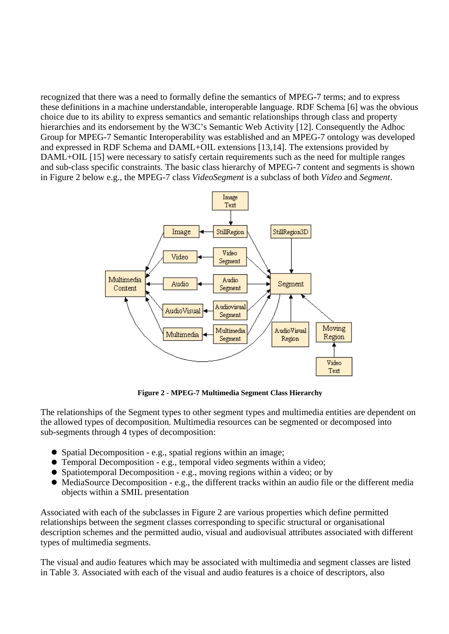recognized that there was a need to formally define the semantics of MPEG-7 terms; and to express these definitions in a machine understandable, interoperable language. RDF Schema [6] was the obvious choice due to its ability to express semantics and semantic relationships through class and property hierarchies and its endorsement by the W3C's Semantic Web Activity [12]. Consequently the Adhoc Group for MPEG-7 Semantic Interoperability was established and an MPEG-7 ontology was developed and expressed in RDF Schema and DAML+OIL extensions [13,14]. The extensions provided by DAML+OIL [15] were necessary to satisfy certain requirements such as the need for multiple ranges and sub-class specific constraints. The basic class hierarchy of MPEG-7 content and segments is shown in Figure 2 below e.g., the MPEG-7 class *VideoSegment* is a subclass of both *Video* and *Segment*.



**Figure 2 - MPEG-7 Multimedia Segment Class Hierarchy**

The relationships of the Segment types to other segment types and multimedia entities are dependent on the allowed types of decomposition. Multimedia resources can be segmented or decomposed into sub-segments through 4 types of decomposition:

- Spatial Decomposition e.g., spatial regions within an image;
- Temporal Decomposition e.g., temporal video segments within a video;
- Spatiotemporal Decomposition e.g., moving regions within a video; or by
- MediaSource Decomposition e.g., the different tracks within an audio file or the different media objects within a SMIL presentation

Associated with each of the subclasses in Figure 2 are various properties which define permitted relationships between the segment classes corresponding to specific structural or organisational description schemes and the permitted audio, visual and audiovisual attributes associated with different types of multimedia segments.

The visual and audio features which may be associated with multimedia and segment classes are listed in Table 3. Associated with each of the visual and audio features is a choice of descriptors, also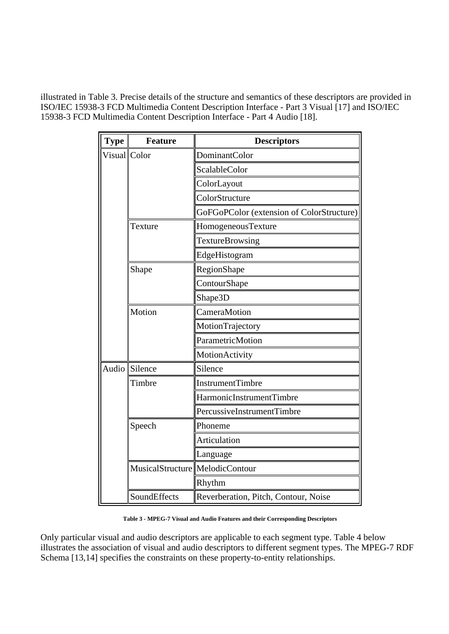illustrated in Table 3. Precise details of the structure and semantics of these descriptors are provided in ISO/IEC 15938-3 FCD Multimedia Content Description Interface - Part 3 Visual [17] and ISO/IEC 15938-3 FCD Multimedia Content Description Interface - Part 4 Audio [18].

| <b>Type</b>  | <b>Feature</b>                    | <b>Descriptors</b>                        |  |
|--------------|-----------------------------------|-------------------------------------------|--|
| Visual Color |                                   | <b>DominantColor</b>                      |  |
|              |                                   | ScalableColor                             |  |
|              |                                   | ColorLayout                               |  |
|              |                                   | ColorStructure                            |  |
|              |                                   | GoFGoPColor (extension of ColorStructure) |  |
|              | Texture                           | HomogeneousTexture                        |  |
|              |                                   | <b>TextureBrowsing</b>                    |  |
|              |                                   | EdgeHistogram                             |  |
|              | Shape                             | RegionShape                               |  |
|              |                                   | ContourShape                              |  |
|              |                                   | Shape3D                                   |  |
|              | Motion                            | CameraMotion                              |  |
|              |                                   | MotionTrajectory                          |  |
|              |                                   | ParametricMotion                          |  |
|              |                                   | MotionActivity                            |  |
|              | Audio Silence                     | Silence                                   |  |
|              | Timbre                            | <b>InstrumentTimbre</b>                   |  |
|              |                                   | HarmonicInstrumentTimbre                  |  |
|              |                                   | PercussiveInstrumentTimbre                |  |
|              | Speech                            | Phoneme                                   |  |
|              |                                   | Articulation                              |  |
|              |                                   | Language                                  |  |
|              | MusicalStructure   MelodicContour |                                           |  |
|              |                                   | Rhythm                                    |  |
|              | SoundEffects                      | Reverberation, Pitch, Contour, Noise      |  |

**Table 3 - MPEG-7 Visual and Audio Features and their Corresponding Descriptors**

Only particular visual and audio descriptors are applicable to each segment type. Table 4 below illustrates the association of visual and audio descriptors to different segment types. The MPEG-7 RDF Schema [13,14] specifies the constraints on these property-to-entity relationships.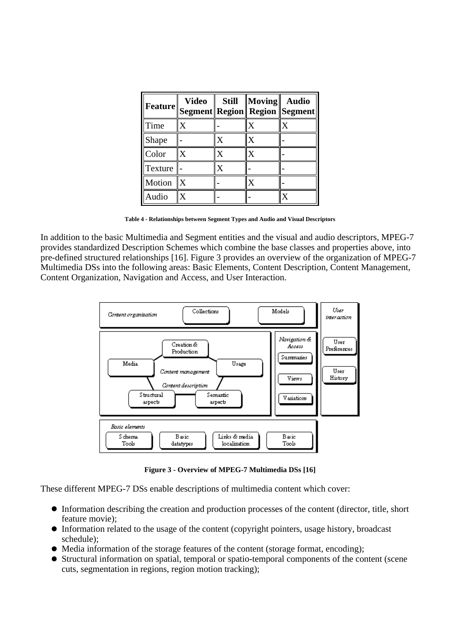|         | <b>Video</b> | <b>Still</b> | $\ Moving\ $              | <b>Audio</b><br>Feature Segment Region Region Segment |
|---------|--------------|--------------|---------------------------|-------------------------------------------------------|
| Time    |              |              | X                         | X                                                     |
| Shape   |              | $\mathbf x$  |                           |                                                       |
| Color   | X            | x            | $\boldsymbol{\mathsf{X}}$ |                                                       |
| Texture |              | X            |                           |                                                       |
| Motion  |              |              |                           |                                                       |
| Audio   |              |              |                           |                                                       |

**Table 4 - Relationships between Segment Types and Audio and Visual Descriptors**

In addition to the basic Multimedia and Segment entities and the visual and audio descriptors, MPEG-7 provides standardized Description Schemes which combine the base classes and properties above, into pre-defined structured relationships [16]. Figure 3 provides an overview of the organization of MPEG-7 Multimedia DSs into the following areas: Basic Elements, Content Description, Content Management, Content Organization, Navigation and Access, and User Interaction.



**Figure 3 - Overview of MPEG-7 Multimedia DSs [16]**

These different MPEG-7 DSs enable descriptions of multimedia content which cover:

- Information describing the creation and production processes of the content (director, title, short feature movie);
- Information related to the usage of the content (copyright pointers, usage history, broadcast schedule);
- $\bullet$  Media information of the storage features of the content (storage format, encoding);
- Structural information on spatial, temporal or spatio-temporal components of the content (scene cuts, segmentation in regions, region motion tracking);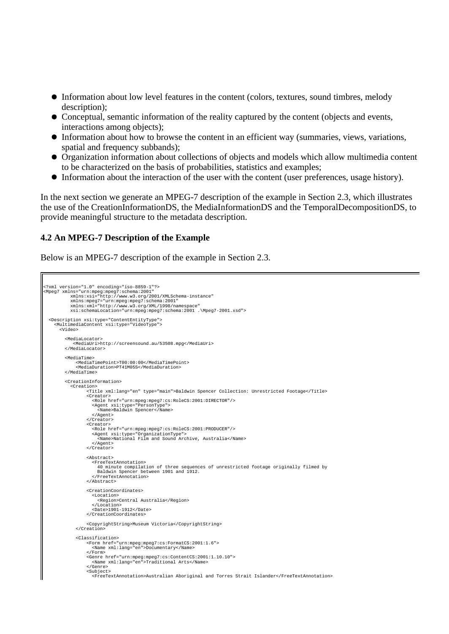- Information about low level features in the content (colors, textures, sound timbres, melody description);
- Conceptual, semantic information of the reality captured by the content (objects and events, interactions among objects);
- Information about how to browse the content in an efficient way (summaries, views, variations, spatial and frequency subbands);
- Organization information about collections of objects and models which allow multimedia content to be characterized on the basis of probabilities, statistics and examples;
- Information about the interaction of the user with the content (user preferences, usage history).

In the next section we generate an MPEG-7 description of the example in Section 2.3, which illustrates the use of the CreationInformationDS, the MediaInformationDS and the TemporalDecompositionDS, to provide meaningful structure to the metadata description.

#### **4.2 An MPEG-7 Description of the Example**

Below is an MPEG-7 description of the example in Section 2.3.

```
<?xml version="1.0" encoding="iso-8859-1"?>
<Mpeg7 xmlns="urn:mpeg:mpeg7:schema:2001" 
 xmlns:xsi="http://www.w3.org/2001/XMLSchema-instance" 
xmlns:mpeg7="urn:mpeg:mpeg7:schema:2001"<br>xmlns:xml="http://www.w3.org/XML/1998/namespace"<br>xsi:schemaLocation="urn:mpeg:mpeg7:schema:2001 .\Mpeg7-2001.xsd">
 <Description xsi:type="ContentEntityType">
 <MultimediaContent xsi:type="VideoType">
        <Video>
          <MediaLocator>
 <MediaUri>http://screensound.au/53508.mpg</MediaUri>
 </MediaLocator>
          <MediaTime>
                <MediaTimePoint>T00:00:00</MediaTimePoint>
                <MediaDuration>PT41M05S</MediaDuration>
          </MediaTime>
          <CreationInformation>
 <Creation>
 <Title xml:lang="en" type="main">Baldwin Spencer Collection: Unrestricted Footage</Title>
 <Creator>
                        <Role href="urn:mpeg:mpeg7:cs:RoleCS:2001:DIRECTOR"/>
 <Agent xsi:type="PersonType">
 <Name>Baldwin Spencer</Name>
                        </Agent>
                     </Creator>
                    >> creator><br><Creator>
 <Role href="urn:mpeg:mpeg7:cs:RoleCS:2001:PRODUCER"/>
 <Agent xsi:type="OrganizationType">
                           <Name>National Film and Sound Archive, Australia</Name>
 </Agent>
 </Creator>
                     <Abstract>
 <FreeTextAnnotation>
 40 minute compilation of three sequences of unrestricted footage originally filmed by 
 Baldwin Spencer between 1901 and 1912.
                         </FreeTextAnnotation>
                     </Abstract>
                     <CreationCoordinates>
                        <Location>
 <Region>Central Australia</Region>
 </Location>
 <Date>1901-1912</Date>
                     </CreationCoordinates>
                      <CopyrightString>Museum Victoria</CopyrightString>
                </Creation>
 <Classification>
 <Form href="urn:mpeg:mpeg7:cs:FormatCS:2001:1.6">
 <Name xml:lang="en">Documentary</Name>
 </Form>
 <Genre href="urn:mpeg:mpeg7:cs:ContentCS:2001:1.10.10">
 <Name xml:lang="en">Traditional Arts</Name>
 </Genre>
                     <Subject>
                        <FreeTextAnnotation>Australian Aboriginal and Torres Strait Islander</FreeTextAnnotation>
```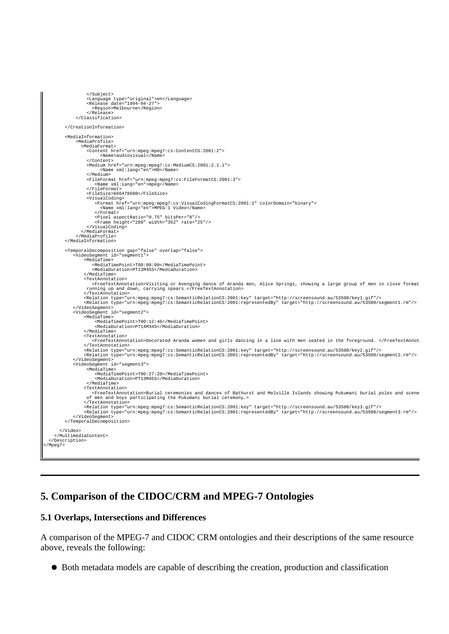```
 </Subject>
 <Language type="original">en</Language>
 <Release date="1994-04-27">
 <Region>Melbourne</Region>
                     </Release>
                </Classification>
          </CreationInformation>
          <MediaInformation>
                <MediaProfile>
                  <MediaFormat>
 <Content href="urn:mpeg:mpeg7:cs:ContentCS:2001:2">
 <Name>audiovisual</Name>
                       </Content>
                     <Medium href="urn:mpeg:mpeg7:cs:MediumCS:2001:2.1.1">
                           <Name xml:lang="en">HD</Name>
                      </Medium>
                     <FileFormat href="urn:mpeg:mpeg7:cs:FileFormatCS:2001:3">
 <Name xml:lang="en">mpeg</Name>
 </FileFormat>
 <FileSize>666478608</FileSize>
 <VisualCoding>
 <Format href="urn:mpeg:mpeg7:cs:VisualCodingFormatCS:2001:1" colorDomain="binary">
 <Name xml:lang="en">MPEG-1 Video</Name>
 </Format>
 <Pixel aspectRatio="0.75" bitsPer="8"/>
 <Frame height="288" width="352" rate="25"/>
                     </VisualCoding>
                   </MediaFormat>
                </MediaProfile>
          </MediaInformation>
 <TemporalDecomposition gap="false" overlap="false">
 <VideoSegment id="segment1">
 <MediaTime>
                       <MediaTimePoint>T00:00:00</MediaTimePoint>
                       <MediaDuration>PT12M45S</MediaDuration>
 </MediaTime>
 <TextAnnotation>
                       <FreeTextAnnotation>Visiting or Avenging dance of Aranda men, Alice Springs, showing a large group of men in close formation
 running up and down, carrying spears.</FreeTextAnnotation>
 </TextAnnotation>
<Relation type="urn:mpeg:mpeg7:cs:SemanticRelationCS:2001:key" target="http://screensound.au/53508/key1.gif"/><br><Relation type="urn:mpeg:mpeg7:cs:SemanticRelationCS:2001:representedBy" target="http://screensound.au/53508/se
               </VideoSegment>
 <VideoSegment id="segment2">
 <MediaTime>
                        <MediaTimePoint>T00:12:46</MediaTimePoint>
                         <MediaDuration>PT14M34S</MediaDuration>
                    </MediaTime>
                    <TextAnnotation>
                       <FreeTextAnnotation>Decorated Aranda women and girls dancing in a line with men seated in the foreground. </FreeTextAnnotation>
                    </TextAnnotation>
<Relation type="urn:mpeg:mpeg7:cs:SemanticRelationCS:2001:key" target="http://screensound.au/53508/key2.gif"/><br><Relation type="urn:mpeg:mpeg7:cs:SemanticRelationCS:2001:representedBy" target="http://screensound.au/53508/se
               </VideoSegment>
               <VideoSegment id="segment3">
                     <MediaTime>
 <MediaTimePoint>T00:27:20</MediaTimePoint>
 <MediaDuration>PT13M45S</MediaDuration>
                      </MediaTime>
                    <TextAnnotation>
<FreeTextAnnotation>Burial ceremonies and dances of Bathurst and Melville Islands showing Pukumani burial poles and scene<br>of men and boys participating the Pukumani burial ceremony.>
                    </TextAnnotation>
<Relation type="urn:mpeg:mpeg7:cs:SemanticRelationCS:2001:key" target="http://screensound.au/53508/key3.gif"/><br><Relation type="urn:mpeg:mpeg7:cs:SemanticRelationCS:2001:representedBy" target="http://screensound.au/53508/se
               </VideoSegment>
          </TemporalDecomposition>
 </Video>
 </MultimediaContent>
   </Description>
</Mpeg7>
```
# **5. Comparison of the CIDOC/CRM and MPEG-7 Ontologies**

#### **5.1 Overlaps, Intersections and Differences**

A comparison of the MPEG-7 and CIDOC CRM ontologies and their descriptions of the same resource above, reveals the following:

Both metadata models are capable of describing the creation, production and classification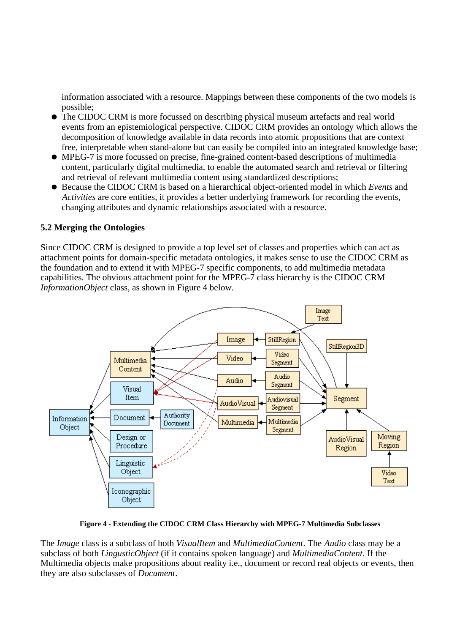information associated with a resource. Mappings between these components of the two models is possible;

- The CIDOC CRM is more focussed on describing physical museum artefacts and real world events from an epistemiological perspective. CIDOC CRM provides an ontology which allows the decomposition of knowledge available in data records into atomic propositions that are context free, interpretable when stand-alone but can easily be compiled into an integrated knowledge base;
- MPEG-7 is more focussed on precise, fine-grained content-based descriptions of multimedia content, particularly digital multimedia, to enable the automated search and retrieval or filtering and retrieval of relevant multimedia content using standardized descriptions;
- Because the CIDOC CRM is based on a hierarchical object-oriented model in which *Events* and *Activities* are core entities, it provides a better underlying framework for recording the events, changing attributes and dynamic relationships associated with a resource.

### **5.2 Merging the Ontologies**

Since CIDOC CRM is designed to provide a top level set of classes and properties which can act as attachment points for domain-specific metadata ontologies, it makes sense to use the CIDOC CRM as the foundation and to extend it with MPEG-7 specific components, to add multimedia metadata capabilities. The obvious attachment point for the MPEG-7 class hierarchy is the CIDOC CRM *InformationObject* class, as shown in Figure 4 below.



**Figure 4 - Extending the CIDOC CRM Class Hierarchy with MPEG-7 Multimedia Subclasses**

The *Image* class is a subclass of both *VisualItem* and *MultimediaContent*. The *Audio* class may be a subclass of both *LingusticObject* (if it contains spoken language) and *MultimediaContent*. If the Multimedia objects make propositions about reality i.e., document or record real objects or events, then they are also subclasses of *Document*.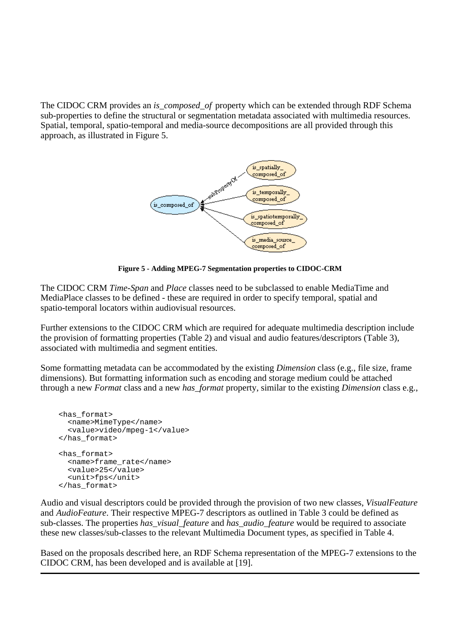The CIDOC CRM provides an *is\_composed\_of* property which can be extended through RDF Schema sub-properties to define the structural or segmentation metadata associated with multimedia resources. Spatial, temporal, spatio-temporal and media-source decompositions are all provided through this approach, as illustrated in Figure 5.



**Figure 5 - Adding MPEG-7 Segmentation properties to CIDOC-CRM**

The CIDOC CRM *Time-Span* and *Place* classes need to be subclassed to enable MediaTime and MediaPlace classes to be defined - these are required in order to specify temporal, spatial and spatio-temporal locators within audiovisual resources.

Further extensions to the CIDOC CRM which are required for adequate multimedia description include the provision of formatting properties (Table 2) and visual and audio features/descriptors (Table 3), associated with multimedia and segment entities.

Some formatting metadata can be accommodated by the existing *Dimension* class (e.g., file size, frame dimensions). But formatting information such as encoding and storage medium could be attached through a new *Format* class and a new *has\_format* property, similar to the existing *Dimension* class e.g.,

```
 <has_format>
   <name>MimeType</name>
   <value>video/mpeg-1</value>
 </has_format>
 <has_format>
   <name>frame_rate</name>
   <value>25</value>
   <unit>fps</unit>
 </has_format>
```
Audio and visual descriptors could be provided through the provision of two new classes, *VisualFeature* and *AudioFeature*. Their respective MPEG-7 descriptors as outlined in Table 3 could be defined as sub-classes. The properties *has\_visual\_feature* and *has\_audio\_feature* would be required to associate these new classes/sub-classes to the relevant Multimedia Document types, as specified in Table 4.

Based on the proposals described here, an RDF Schema representation of the MPEG-7 extensions to the CIDOC CRM, has been developed and is available at [19].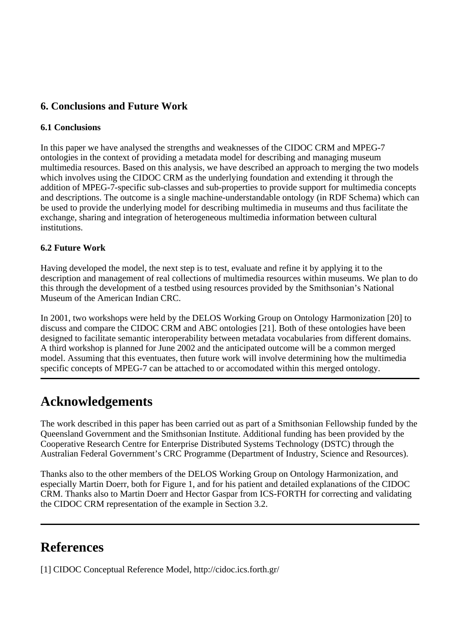# **6. Conclusions and Future Work**

# **6.1 Conclusions**

In this paper we have analysed the strengths and weaknesses of the CIDOC CRM and MPEG-7 ontologies in the context of providing a metadata model for describing and managing museum multimedia resources. Based on this analysis, we have described an approach to merging the two models which involves using the CIDOC CRM as the underlying foundation and extending it through the addition of MPEG-7-specific sub-classes and sub-properties to provide support for multimedia concepts and descriptions. The outcome is a single machine-understandable ontology (in RDF Schema) which can be used to provide the underlying model for describing multimedia in museums and thus facilitate the exchange, sharing and integration of heterogeneous multimedia information between cultural institutions.

# **6.2 Future Work**

Having developed the model, the next step is to test, evaluate and refine it by applying it to the description and management of real collections of multimedia resources within museums. We plan to do this through the development of a testbed using resources provided by the Smithsonian's National Museum of the American Indian CRC.

In 2001, two workshops were held by the DELOS Working Group on Ontology Harmonization [20] to discuss and compare the CIDOC CRM and ABC ontologies [21]. Both of these ontologies have been designed to facilitate semantic interoperability between metadata vocabularies from different domains. A third workshop is planned for June 2002 and the anticipated outcome will be a common merged model. Assuming that this eventuates, then future work will involve determining how the multimedia specific concepts of MPEG-7 can be attached to or accomodated within this merged ontology.

# **Acknowledgements**

The work described in this paper has been carried out as part of a Smithsonian Fellowship funded by the Queensland Government and the Smithsonian Institute. Additional funding has been provided by the Cooperative Research Centre for Enterprise Distributed Systems Technology (DSTC) through the Australian Federal Government's CRC Programme (Department of Industry, Science and Resources).

Thanks also to the other members of the DELOS Working Group on Ontology Harmonization, and especially Martin Doerr, both for Figure 1, and for his patient and detailed explanations of the CIDOC CRM. Thanks also to Martin Doerr and Hector Gaspar from ICS-FORTH for correcting and validating the CIDOC CRM representation of the example in Section 3.2.

# **References**

[1] CIDOC Conceptual Reference Model, http://cidoc.ics.forth.gr/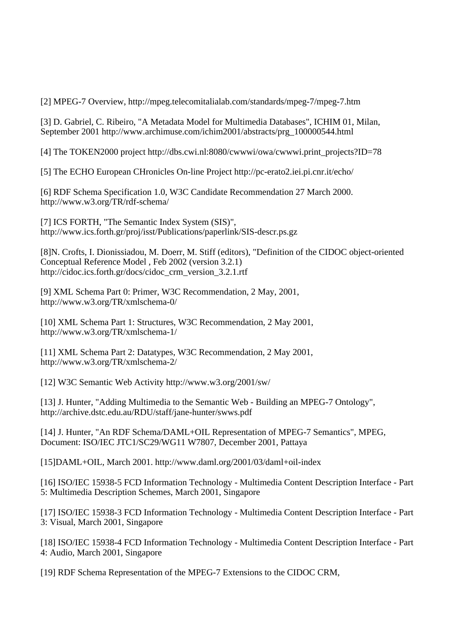[2] MPEG-7 Overview, http://mpeg.telecomitalialab.com/standards/mpeg-7/mpeg-7.htm

[3] D. Gabriel, C. Ribeiro, "A Metadata Model for Multimedia Databases", ICHIM 01, Milan, September 2001 http://www.archimuse.com/ichim2001/abstracts/prg\_100000544.html

[4] The TOKEN2000 project http://dbs.cwi.nl:8080/cwwwi/owa/cwwwi.print\_projects?ID=78

[5] The ECHO European CHronicles On-line Project http://pc-erato2.iei.pi.cnr.it/echo/

[6] RDF Schema Specification 1.0, W3C Candidate Recommendation 27 March 2000. http://www.w3.org/TR/rdf-schema/

[7] ICS FORTH, "The Semantic Index System (SIS)", http://www.ics.forth.gr/proj/isst/Publications/paperlink/SIS-descr.ps.gz

[8]N. Crofts, I. Dionissiadou, M. Doerr, M. Stiff (editors), "Definition of the CIDOC object-oriented Conceptual Reference Model , Feb 2002 (version 3.2.1) http://cidoc.ics.forth.gr/docs/cidoc\_crm\_version\_3.2.1.rtf

[9] XML Schema Part 0: Primer, W3C Recommendation, 2 May, 2001, http://www.w3.org/TR/xmlschema-0/

[10] XML Schema Part 1: Structures, W3C Recommendation, 2 May 2001, http://www.w3.org/TR/xmlschema-1/

[11] XML Schema Part 2: Datatypes, W3C Recommendation, 2 May 2001, http://www.w3.org/TR/xmlschema-2/

[12] W3C Semantic Web Activity http://www.w3.org/2001/sw/

[13] J. Hunter, "Adding Multimedia to the Semantic Web - Building an MPEG-7 Ontology", http://archive.dstc.edu.au/RDU/staff/jane-hunter/swws.pdf

[14] J. Hunter, "An RDF Schema/DAML+OIL Representation of MPEG-7 Semantics", MPEG, Document: ISO/IEC JTC1/SC29/WG11 W7807, December 2001, Pattaya

[15]DAML+OIL, March 2001. http://www.daml.org/2001/03/daml+oil-index

[16] ISO/IEC 15938-5 FCD Information Technology - Multimedia Content Description Interface - Part 5: Multimedia Description Schemes, March 2001, Singapore

[17] ISO/IEC 15938-3 FCD Information Technology - Multimedia Content Description Interface - Part 3: Visual, March 2001, Singapore

[18] ISO/IEC 15938-4 FCD Information Technology - Multimedia Content Description Interface - Part 4: Audio, March 2001, Singapore

[19] RDF Schema Representation of the MPEG-7 Extensions to the CIDOC CRM,